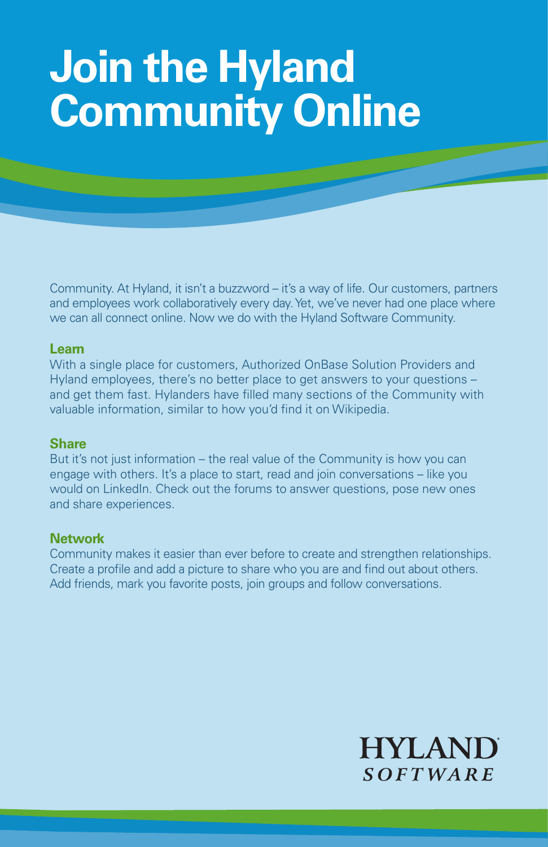# **Join the Hyland Community Online**

Community. At Hyland, it isn't a buzzword – it's a way of life. Our customers, partners and employees work collaboratively every day. Yet, we've never had one place where we can all connect online. Now we do with the Hyland Software Community.

# **Learn**

With a single place for customers, Authorized OnBase Solution Providers and Hyland employees, there's no better place to get answers to your questions – and get them fast. Hylanders have filled many sections of the Community with valuable information, similar to how you'd find it on Wikipedia.

## **Share**

But it's not just information – the real value of the Community is how you can engage with others. It's a place to start, read and join conversations – like you would on LinkedIn. Check out the forums to answer questions, pose new ones and share experiences.

# **Network**

Community makes it easier than ever before to create and strengthen relationships. Create a profile and add a picture to share who you are and find out about others. Add friends, mark you favorite posts, join groups and follow conversations.